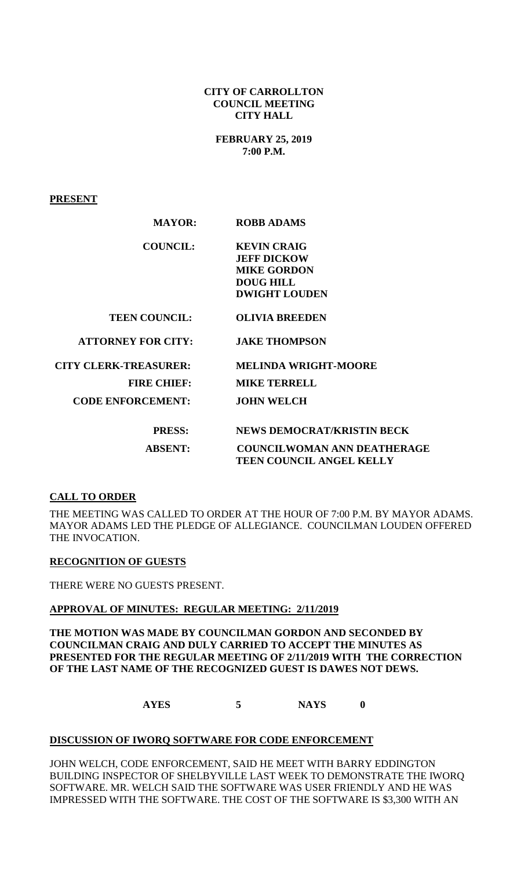#### **CITY OF CARROLLTON COUNCIL MEETING CITY HALL**

**FEBRUARY 25, 2019 7:00 P.M.**

**PRESENT**

| <b>MAYOR:</b>                | <b>ROBB ADAMS</b>                  |
|------------------------------|------------------------------------|
| <b>COUNCIL:</b>              | <b>KEVIN CRAIG</b>                 |
|                              | <b>JEFF DICKOW</b>                 |
|                              | <b>MIKE GORDON</b>                 |
|                              | <b>DOUG HILL</b>                   |
|                              | <b>DWIGHT LOUDEN</b>               |
| <b>TEEN COUNCIL:</b>         | <b>OLIVIA BREEDEN</b>              |
| <b>ATTORNEY FOR CITY:</b>    | <b>JAKE THOMPSON</b>               |
| <b>CITY CLERK-TREASURER:</b> | <b>MELINDA WRIGHT-MOORE</b>        |
| <b>FIRE CHIEF:</b>           | <b>MIKE TERRELL</b>                |
| <b>CODE ENFORCEMENT:</b>     | <b>JOHN WELCH</b>                  |
| <b>PRESS:</b>                | <b>NEWS DEMOCRAT/KRISTIN BECK</b>  |
| <b>ABSENT:</b>               | <b>COUNCILWOMAN ANN DEATHERAGE</b> |
|                              | <b>TEEN COUNCIL ANGEL KELLY</b>    |

### **CALL TO ORDER**

THE MEETING WAS CALLED TO ORDER AT THE HOUR OF 7:00 P.M. BY MAYOR ADAMS. MAYOR ADAMS LED THE PLEDGE OF ALLEGIANCE. COUNCILMAN LOUDEN OFFERED THE INVOCATION.

### **RECOGNITION OF GUESTS**

THERE WERE NO GUESTS PRESENT.

### **APPROVAL OF MINUTES: REGULAR MEETING: 2/11/2019**

**THE MOTION WAS MADE BY COUNCILMAN GORDON AND SECONDED BY COUNCILMAN CRAIG AND DULY CARRIED TO ACCEPT THE MINUTES AS PRESENTED FOR THE REGULAR MEETING OF 2/11/2019 WITH THE CORRECTION OF THE LAST NAME OF THE RECOGNIZED GUEST IS DAWES NOT DEWS.** 

**AYES 5 NAYS 0**

#### **DISCUSSION OF IWORQ SOFTWARE FOR CODE ENFORCEMENT**

JOHN WELCH, CODE ENFORCEMENT, SAID HE MEET WITH BARRY EDDINGTON BUILDING INSPECTOR OF SHELBYVILLE LAST WEEK TO DEMONSTRATE THE IWORQ SOFTWARE. MR. WELCH SAID THE SOFTWARE WAS USER FRIENDLY AND HE WAS IMPRESSED WITH THE SOFTWARE. THE COST OF THE SOFTWARE IS \$3,300 WITH AN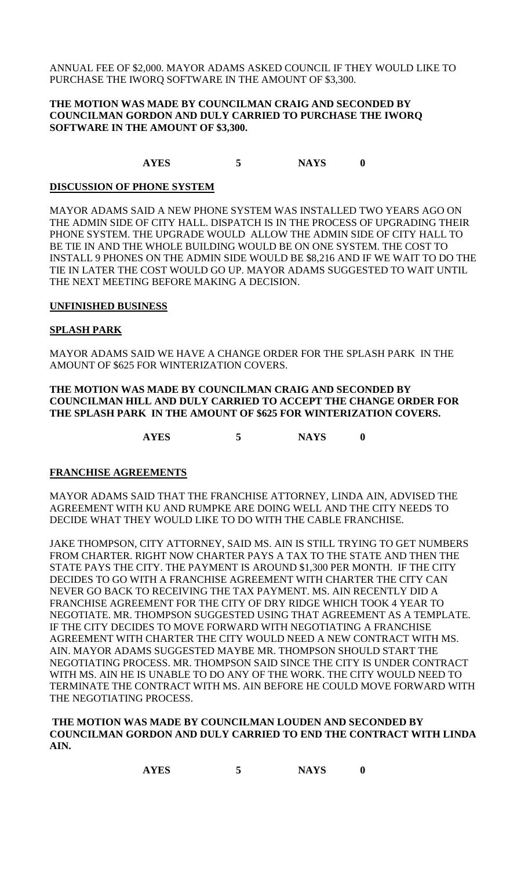ANNUAL FEE OF \$2,000. MAYOR ADAMS ASKED COUNCIL IF THEY WOULD LIKE TO PURCHASE THE IWORQ SOFTWARE IN THE AMOUNT OF \$3,300.

### **THE MOTION WAS MADE BY COUNCILMAN CRAIG AND SECONDED BY COUNCILMAN GORDON AND DULY CARRIED TO PURCHASE THE IWORQ SOFTWARE IN THE AMOUNT OF \$3,300.**

**AYES 5 NAYS 0**

#### **DISCUSSION OF PHONE SYSTEM**

MAYOR ADAMS SAID A NEW PHONE SYSTEM WAS INSTALLED TWO YEARS AGO ON THE ADMIN SIDE OF CITY HALL. DISPATCH IS IN THE PROCESS OF UPGRADING THEIR PHONE SYSTEM. THE UPGRADE WOULD ALLOW THE ADMIN SIDE OF CITY HALL TO BE TIE IN AND THE WHOLE BUILDING WOULD BE ON ONE SYSTEM. THE COST TO INSTALL 9 PHONES ON THE ADMIN SIDE WOULD BE \$8,216 AND IF WE WAIT TO DO THE TIE IN LATER THE COST WOULD GO UP. MAYOR ADAMS SUGGESTED TO WAIT UNTIL THE NEXT MEETING BEFORE MAKING A DECISION.

#### **UNFINISHED BUSINESS**

#### **SPLASH PARK**

MAYOR ADAMS SAID WE HAVE A CHANGE ORDER FOR THE SPLASH PARK IN THE AMOUNT OF \$625 FOR WINTERIZATION COVERS.

#### **THE MOTION WAS MADE BY COUNCILMAN CRAIG AND SECONDED BY COUNCILMAN HILL AND DULY CARRIED TO ACCEPT THE CHANGE ORDER FOR THE SPLASH PARK IN THE AMOUNT OF \$625 FOR WINTERIZATION COVERS.**

**AYES 5 NAYS 0**

### **FRANCHISE AGREEMENTS**

MAYOR ADAMS SAID THAT THE FRANCHISE ATTORNEY, LINDA AIN, ADVISED THE AGREEMENT WITH KU AND RUMPKE ARE DOING WELL AND THE CITY NEEDS TO DECIDE WHAT THEY WOULD LIKE TO DO WITH THE CABLE FRANCHISE.

JAKE THOMPSON, CITY ATTORNEY, SAID MS. AIN IS STILL TRYING TO GET NUMBERS FROM CHARTER. RIGHT NOW CHARTER PAYS A TAX TO THE STATE AND THEN THE STATE PAYS THE CITY. THE PAYMENT IS AROUND \$1,300 PER MONTH. IF THE CITY DECIDES TO GO WITH A FRANCHISE AGREEMENT WITH CHARTER THE CITY CAN NEVER GO BACK TO RECEIVING THE TAX PAYMENT. MS. AIN RECENTLY DID A FRANCHISE AGREEMENT FOR THE CITY OF DRY RIDGE WHICH TOOK 4 YEAR TO NEGOTIATE. MR. THOMPSON SUGGESTED USING THAT AGREEMENT AS A TEMPLATE. IF THE CITY DECIDES TO MOVE FORWARD WITH NEGOTIATING A FRANCHISE AGREEMENT WITH CHARTER THE CITY WOULD NEED A NEW CONTRACT WITH MS. AIN. MAYOR ADAMS SUGGESTED MAYBE MR. THOMPSON SHOULD START THE NEGOTIATING PROCESS. MR. THOMPSON SAID SINCE THE CITY IS UNDER CONTRACT WITH MS. AIN HE IS UNABLE TO DO ANY OF THE WORK. THE CITY WOULD NEED TO TERMINATE THE CONTRACT WITH MS. AIN BEFORE HE COULD MOVE FORWARD WITH THE NEGOTIATING PROCESS.

#### **THE MOTION WAS MADE BY COUNCILMAN LOUDEN AND SECONDED BY COUNCILMAN GORDON AND DULY CARRIED TO END THE CONTRACT WITH LINDA AIN.**

| <b>AYES</b> |  |  | <b>NAYS</b> |  |
|-------------|--|--|-------------|--|
|-------------|--|--|-------------|--|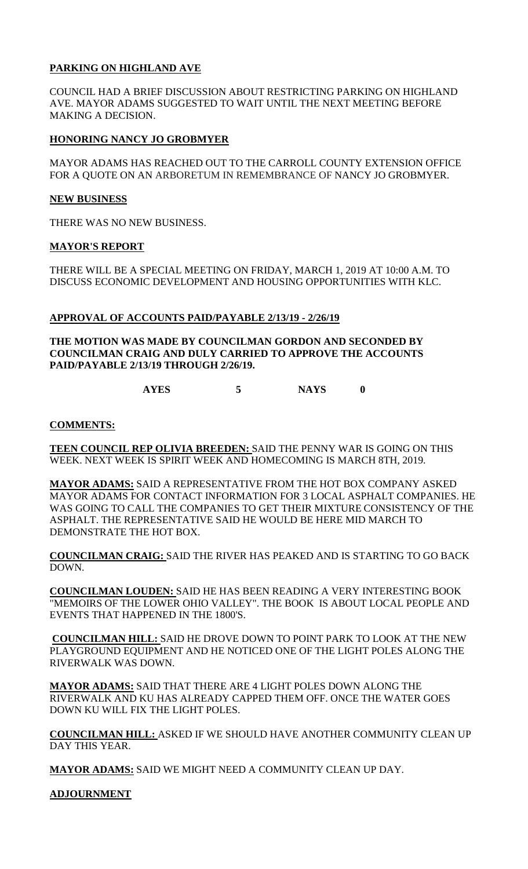## **PARKING ON HIGHLAND AVE**

COUNCIL HAD A BRIEF DISCUSSION ABOUT RESTRICTING PARKING ON HIGHLAND AVE. MAYOR ADAMS SUGGESTED TO WAIT UNTIL THE NEXT MEETING BEFORE MAKING A DECISION.

## **HONORING NANCY JO GROBMYER**

MAYOR ADAMS HAS REACHED OUT TO THE CARROLL COUNTY EXTENSION OFFICE FOR A QUOTE ON AN ARBORETUM IN REMEMBRANCE OF NANCY JO GROBMYER.

### **NEW BUSINESS**

THERE WAS NO NEW BUSINESS.

## **MAYOR'S REPORT**

THERE WILL BE A SPECIAL MEETING ON FRIDAY, MARCH 1, 2019 AT 10:00 A.M. TO DISCUSS ECONOMIC DEVELOPMENT AND HOUSING OPPORTUNITIES WITH KLC.

## **APPROVAL OF ACCOUNTS PAID/PAYABLE 2/13/19 - 2/26/19**

**THE MOTION WAS MADE BY COUNCILMAN GORDON AND SECONDED BY COUNCILMAN CRAIG AND DULY CARRIED TO APPROVE THE ACCOUNTS PAID/PAYABLE 2/13/19 THROUGH 2/26/19.**

**AYES 5 NAYS 0**

## **COMMENTS:**

**TEEN COUNCIL REP OLIVIA BREEDEN:** SAID THE PENNY WAR IS GOING ON THIS WEEK. NEXT WEEK IS SPIRIT WEEK AND HOMECOMING IS MARCH 8TH, 2019.

**MAYOR ADAMS:** SAID A REPRESENTATIVE FROM THE HOT BOX COMPANY ASKED MAYOR ADAMS FOR CONTACT INFORMATION FOR 3 LOCAL ASPHALT COMPANIES. HE WAS GOING TO CALL THE COMPANIES TO GET THEIR MIXTURE CONSISTENCY OF THE ASPHALT. THE REPRESENTATIVE SAID HE WOULD BE HERE MID MARCH TO DEMONSTRATE THE HOT BOX.

**COUNCILMAN CRAIG:** SAID THE RIVER HAS PEAKED AND IS STARTING TO GO BACK DOWN.

**COUNCILMAN LOUDEN:** SAID HE HAS BEEN READING A VERY INTERESTING BOOK "MEMOIRS OF THE LOWER OHIO VALLEY". THE BOOK IS ABOUT LOCAL PEOPLE AND EVENTS THAT HAPPENED IN THE 1800'S.

**COUNCILMAN HILL:** SAID HE DROVE DOWN TO POINT PARK TO LOOK AT THE NEW PLAYGROUND EQUIPMENT AND HE NOTICED ONE OF THE LIGHT POLES ALONG THE RIVERWALK WAS DOWN.

**MAYOR ADAMS:** SAID THAT THERE ARE 4 LIGHT POLES DOWN ALONG THE RIVERWALK AND KU HAS ALREADY CAPPED THEM OFF. ONCE THE WATER GOES DOWN KU WILL FIX THE LIGHT POLES.

**COUNCILMAN HILL:** ASKED IF WE SHOULD HAVE ANOTHER COMMUNITY CLEAN UP DAY THIS YEAR.

**MAYOR ADAMS:** SAID WE MIGHT NEED A COMMUNITY CLEAN UP DAY.

# **ADJOURNMENT**